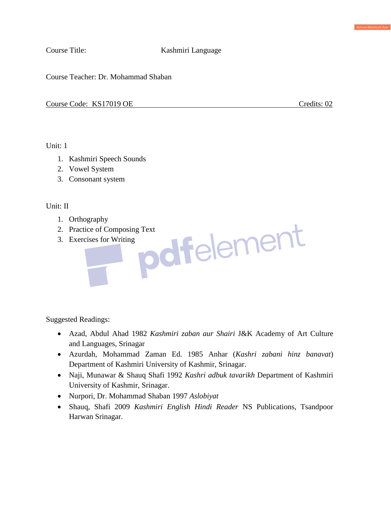Course Title: Kashmiri Language

Course Teacher: Dr. Mohammad Shaban

Course Code: KS17019 OE Credits: 02

Unit: 1

- 1. Kashmiri Speech Sounds
- 2. Vowel System
- 3. Consonant system

Unit: II

- 1. Orthography
- 2. Practice of Composing Text<br>3. Exercises for Writing<br>100 Felement
- 3. Exercises for Writing

Suggested Readings:

- Azad, Abdul Ahad 1982 *Kashmiri zaban aur Shairi* J&K Academy of Art Culture and Languages, Srinagar
- Azurdah, Mohammad Zaman Ed. 1985 Anhar (*Kashri zabani hinz banavat*) Department of Kashmiri University of Kashmir, Srinagar.
- Naji, Munawar & Shauq Shafi 1992 *Kashri adbuk tavarikh* Department of Kashmiri University of Kashmir, Srinagar.
- Nurpori, Dr. Mohammad Shaban 1997 *Aslobiyat*
- Shauq, Shafi 2009 *Kashmiri English Hindi Reader* NS Publications, Tsandpoor Harwan Srinagar.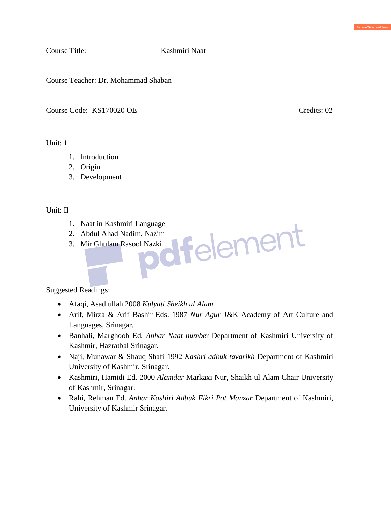Course Title: Kashmiri Naat

Course Teacher: Dr. Mohammad Shaban

Course Code: KS170020 OE Credits: 02

Unit: 1

- 1. Introduction
- 2. Origin
- 3. Development

Unit: II

- 
- 2. Abdul Ahad Nadim, Nazim
- 1. Naat in Kashmiri Language<br>2. Abdul Ahad Nadim, Nazim<br>3. Mir Ghulam Rasool Nazki 3. Mir Ghulam Rasool Nazki

Suggested Readings:

- Afaqi, Asad ullah 2008 *Kulyati Sheikh ul Alam*
- Arif, Mirza & Arif Bashir Eds. 1987 *Nur Agur* J&K Academy of Art Culture and Languages, Srinagar.
- Banhali, Marghoob Ed*. Anhar Naat numbe*r Department of Kashmiri University of Kashmir, Hazratbal Srinagar.
- Naji, Munawar & Shauq Shafi 1992 *Kashri adbuk tavarikh* Department of Kashmiri University of Kashmir, Srinagar.
- Kashmiri, Hamidi Ed. 2000 *Alamdar* Markaxi Nur, Shaikh ul Alam Chair University of Kashmir, Srinagar.
- Rahi, Rehman Ed. *Anhar Kashiri Adbuk Fikri Pot Manzar* Department of Kashmiri, University of Kashmir Srinagar.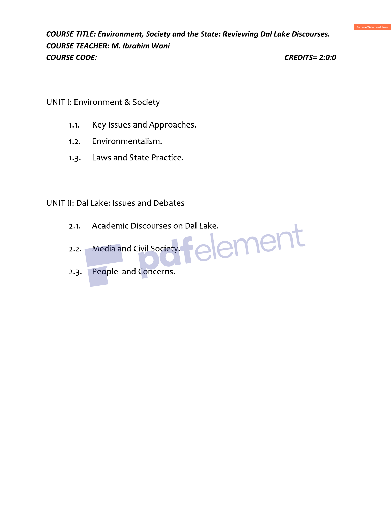**UNIT I: Environment & Society** 

- Key Issues and Approaches.  $1.1.$
- Environmentalism.  $1.2.$
- 1.3. Laws and State Practice.

# UNIT II: Dal Lake: Issues and Debates

- Academic Discourses on Dal Lake.  $2.1.$ element
- 2.2. Media and Civil Society.
- 2.3. People and Concerns.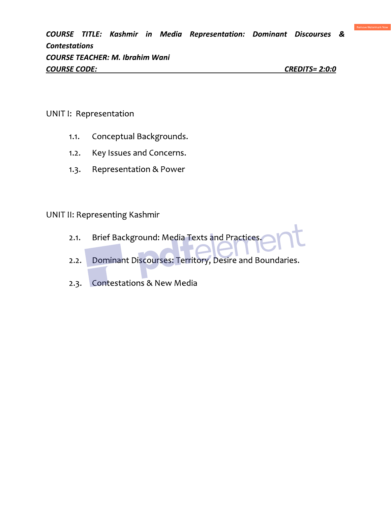COURSE TITLE: Kashmir in Media Representation: Dominant Discourses & **Contestations COURSE TEACHER: M. Ibrahim Wani COURSE CODE: CREDITS= 2:0:0** 

## UNIT I: Representation

- Conceptual Backgrounds.  $1.1.$
- Key Issues and Concerns.  $1.2.$
- Representation & Power  $1.3.$

#### **UNIT II: Representing Kashmir**

- Brief Background: Media Texts and Practices.  $2.1.$
- Dominant Discourses: Territory, Desire and Boundaries.  $2.2.$
- Contestations & New Media  $2.3.$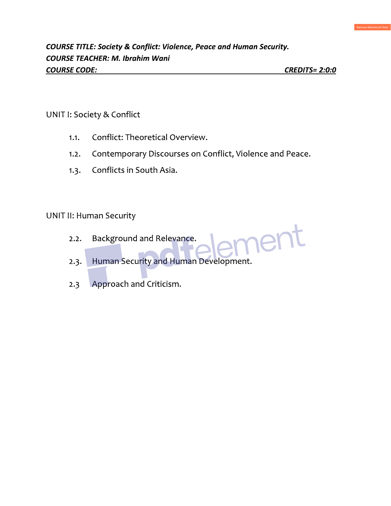## UNIT I: Society & Conflict

- $1.1.$ Conflict: Theoretical Overview.
- Contemporary Discourses on Conflict, Violence and Peace.  $1.2.$
- Conflicts in South Asia.  $1.3.$

## **UNIT II: Human Security**

- Background and Relevance.  $2.2.$
- nent Human Security and Human Development.  $2.3.$
- Approach and Criticism.  $2.3$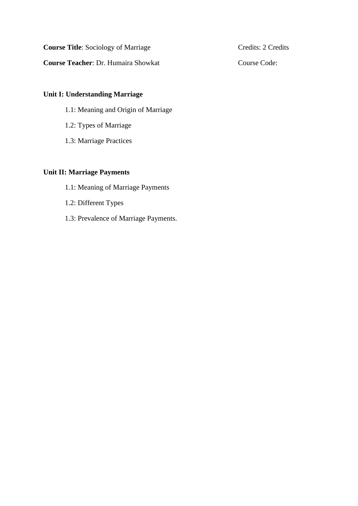|  |  |  | <b>Course Title: Sociology of Marriage</b> |
|--|--|--|--------------------------------------------|
|--|--|--|--------------------------------------------|

**Course Teacher:** Dr. Humaira Showkat Course Code:

Credits: 2 Credits

#### **Unit I: Understanding Marriage**

- 1.1: Meaning and Origin of Marriage
- 1.2: Types of Marriage
- 1.3: Marriage Practices

### **Unit II: Marriage Payments**

- 1.1: Meaning of Marriage Payments
- 1.2: Different Types
- 1.3: Prevalence of Marriage Payments.